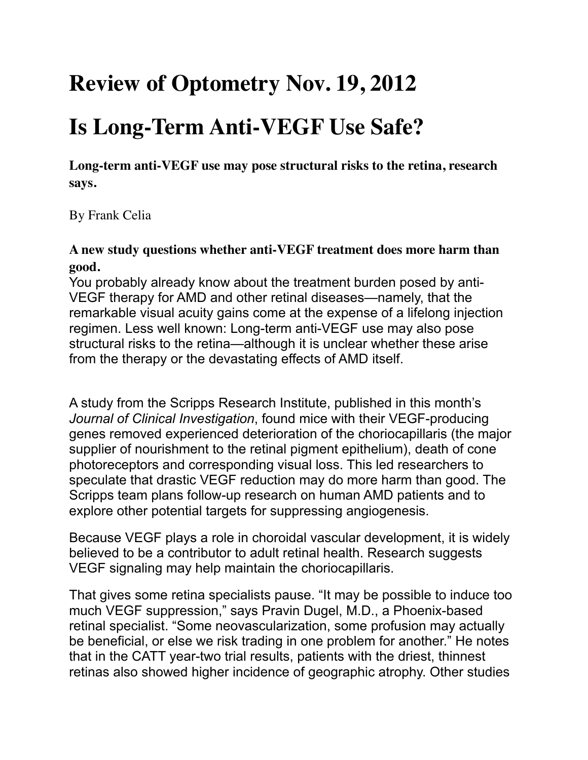## **Review of Optometry Nov. 19, 2012**

## **Is Long-Term Anti-VEGF Use Safe?**

**Long-term anti-VEGF use may pose structural risks to the retina, research says.**

By Frank Celia

## **A new study questions whether anti-VEGF treatment does more harm than good.**

You probably already know about the treatment burden posed by anti-VEGF therapy for AMD and other retinal diseases—namely, that the remarkable visual acuity gains come at the expense of a lifelong injection regimen. Less well known: Long-term anti-VEGF use may also pose structural risks to the retina—although it is unclear whether these arise from the therapy or the devastating effects of AMD itself.

A study from the Scripps Research Institute, published in this month's *Journal of Clinical Investigation*, found mice with their VEGF-producing genes removed experienced deterioration of the choriocapillaris (the major supplier of nourishment to the retinal pigment epithelium), death of cone photoreceptors and corresponding visual loss. This led researchers to speculate that drastic VEGF reduction may do more harm than good. The Scripps team plans follow-up research on human AMD patients and to explore other potential targets for suppressing angiogenesis.

Because VEGF plays a role in choroidal vascular development, it is widely believed to be a contributor to adult retinal health. Research suggests VEGF signaling may help maintain the choriocapillaris.

That gives some retina specialists pause. "It may be possible to induce too much VEGF suppression," says Pravin Dugel, M.D., a Phoenix-based retinal specialist. "Some neovascularization, some profusion may actually be beneficial, or else we risk trading in one problem for another." He notes that in the CATT year-two trial results, patients with the driest, thinnest retinas also showed higher incidence of geographic atrophy. Other studies